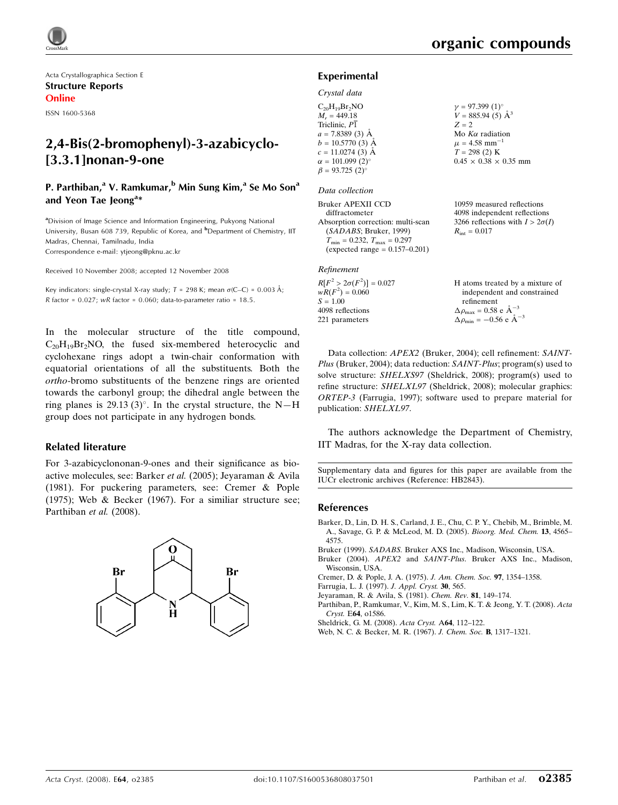

Acta Crystallographica Section E Structure Reports Online

ISSN 1600-5368

# 2,4-Bis(2-bromophenyl)-3-azabicyclo- [3.3.1]nonan-9-one

# P. Parthiban,<sup>a</sup> V. Ramkumar,<sup>b</sup> Min Sung Kim,<sup>a</sup> Se Mo Son<sup>a</sup> and Yeon Tae Jeong<sup>a\*</sup>

<sup>a</sup>Division of Image Science and Information Engineering, Pukyong National University, Busan 608 739, Republic of Korea, and <sup>b</sup>Department of Chemistry, IIT Madras, Chennai, Tamilnadu, India Correspondence e-mail: ytjeong@pknu.ac.kr

Received 10 November 2008; accepted 12 November 2008

Key indicators: single-crystal X-ray study;  $T = 298$  K; mean  $\sigma$ (C–C) = 0.003 Å; R factor =  $0.027$ ; wR factor =  $0.060$ ; data-to-parameter ratio =  $18.5$ .

In the molecular structure of the title compound,  $C_{20}H_{19}Br_2NO$ , the fused six-membered heterocyclic and cyclohexane rings adopt a twin-chair conformation with equatorial orientations of all the substituents. Both the ortho-bromo substituents of the benzene rings are oriented towards the carbonyl group; the dihedral angle between the ring planes is 29.13 (3)°. In the crystal structure, the N-H group does not participate in any hydrogen bonds.

#### Related literature

For 3-azabicyclononan-9-ones and their significance as bioactive molecules, see: Barker et al. (2005); Jeyaraman & Avila (1981). For puckering parameters, see: Cremer & Pople (1975); Web & Becker (1967). For a similiar structure see; Parthiban et al. (2008).



# Experimental

### Crystal data

 $\beta$ 

| $C_{20}H_{19}Br_2NO$          | $\gamma = 97.399(1)$ °            |
|-------------------------------|-----------------------------------|
| $M_r = 449.18$                | $V = 885.94(5)$ $\AA^3$           |
| Triclinic, P1                 | $Z = 2$                           |
| $a = 7.8389(3)$ Å             | Mo $K\alpha$ radiation            |
| $b = 10.5770$ (3) Å           | $\mu = 4.58$ mm <sup>-1</sup>     |
| $c = 11.0274$ (3) Å           | $T = 298(2)$ K                    |
| $\alpha = 101.099(2)^{\circ}$ | $0.45 \times 0.38 \times 0.35$ mm |
| $\beta = 93.725(2)$ °         |                                   |

#### Data collection

Bruker APEXII CCD diffractometer Absorption correction: multi-scan (SADABS; Bruker, 1999)  $T_{\text{min}} = 0.232, T_{\text{max}} = 0.297$  $(expected range = 0.157 - 0.201)$ 

## Refinement

 $R[F^2 > 2\sigma(F^2)] = 0.027$  $wR(F^2) = 0.060$  $S = 1.00$ 4098 reflections 221 parameters

10959 measured reflections

4098 independent reflections 3266 reflections with  $I > 2\sigma(I)$  $R_{\text{int}} = 0.017$ 

H atoms treated by a mixture of independent and constrained refinement  $\Delta \rho_{\text{max}} = 0.58 \text{ e A}^{-3}$  $\Delta \rho_{\text{min}} = -0.56 \text{ e A}^{-3}$ 

Data collection: APEX2 (Bruker, 2004); cell refinement: SAINT-Plus (Bruker, 2004); data reduction: SAINT-Plus; program(s) used to solve structure: SHELXS97 (Sheldrick, 2008); program(s) used to refine structure: SHELXL97 (Sheldrick, 2008); molecular graphics: ORTEP-3 (Farrugia, 1997); software used to prepare material for publication: SHELXL97.

The authors acknowledge the Department of Chemistry, IIT Madras, for the X-ray data collection.

Supplementary data and figures for this paper are available from the IUCr electronic archives (Reference: HB2843).

### References

- Barker, D., Lin, D. H. S., Carland, J. E., Chu, C. P. Y., Chebib, M., Brimble, M. A., Savage, G. P. & McLeod, M. D. (2005). Bioorg. Med. Chem. 13, 4565– 4575.
- Bruker (1999). SADABS. Bruker AXS Inc., Madison, Wisconsin, USA.

Bruker (2004). APEX2 and SAINT-Plus. Bruker AXS Inc., Madison, Wisconsin, USA.

- Cremer, D. & Pople, J. A. (1975). J. Am. Chem. Soc. 97, 1354–1358.
- Farrugia, L. J. (1997). J. Appl. Cryst. 30, 565.
- Jeyaraman, R. & Avila, S. (1981). Chem. Rev. 81, 149–174.
- Parthiban, P., Ramkumar, V., Kim, M. S., Lim, K. T. & Jeong, Y. T. (2008). Acta Cryst. E64, o1586.
- Sheldrick, G. M. (2008). Acta Cryst. A64, 112–122.
- Web, N. C. & Becker, M. R. (1967). J. Chem. Soc. B, 1317–1321.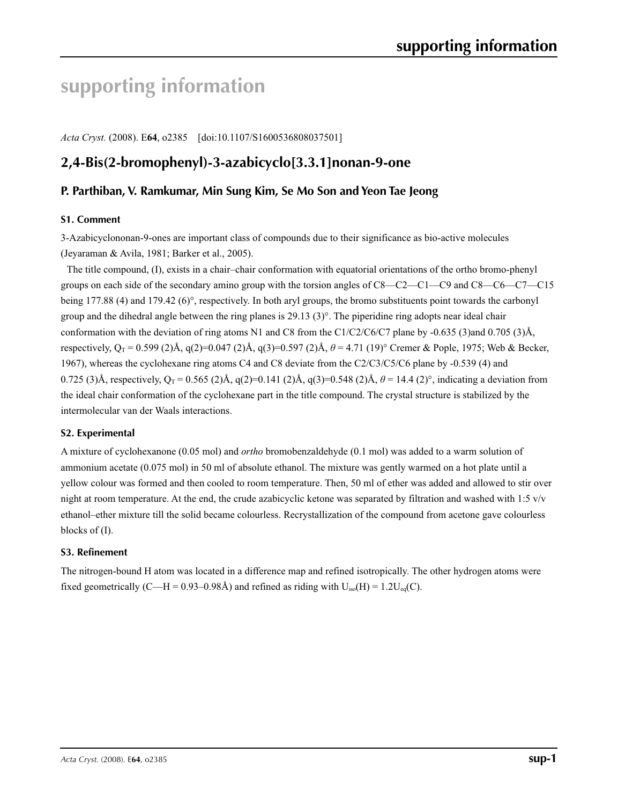# **supporting information**

*Acta Cryst.* (2008). E**64**, o2385 [doi:10.1107/S1600536808037501]

# **2,4-Bis(2-bromophenyl)-3-azabicyclo[3.3.1]nonan-9-one**

# **P. Parthiban, V. Ramkumar, Min Sung Kim, Se Mo Son and Yeon Tae Jeong**

# **S1. Comment**

3-Azabicyclononan-9-ones are important class of compounds due to their significance as bio-active molecules (Jeyaraman & Avila, 1981; Barker et al., 2005).

The title compound, (I), exists in a chair–chair conformation with equatorial orientations of the ortho bromo-phenyl groups on each side of the secondary amino group with the torsion angles of C8—C2—C1—C9 and C8—C6—C7—C15 being 177.88 (4) and 179.42 (6)°, respectively. In both aryl groups, the bromo substituents point towards the carbonyl group and the dihedral angle between the ring planes is 29.13 (3)°. The piperidine ring adopts near ideal chair conformation with the deviation of ring atoms N1 and C8 from the C1/C2/C6/C7 plane by -0.635 (3)and 0.705 (3)Å, respectively, Q<sub>T</sub> = 0.599 (2)Å, q(2)=0.047 (2)Å, q(3)=0.597 (2)Å,  $\theta$  = 4.71 (19)° Cremer & Pople, 1975; Web & Becker, 1967), whereas the cyclohexane ring atoms C4 and C8 deviate from the C2/C3/C5/C6 plane by -0.539 (4) and 0.725 (3)Å, respectively,  $Q_T = 0.565$  (2)Å,  $q(2)=0.141$  (2)Å,  $q(3)=0.548$  (2)Å,  $\theta = 14.4$  (2)°, indicating a deviation from the ideal chair conformation of the cyclohexane part in the title compound. The crystal structure is stabilized by the intermolecular van der Waals interactions.

# **S2. Experimental**

A mixture of cyclohexanone (0.05 mol) and *ortho* bromobenzaldehyde (0.1 mol) was added to a warm solution of ammonium acetate (0.075 mol) in 50 ml of absolute ethanol. The mixture was gently warmed on a hot plate until a yellow colour was formed and then cooled to room temperature. Then, 50 ml of ether was added and allowed to stir over night at room temperature. At the end, the crude azabicyclic ketone was separated by filtration and washed with  $1:5 \text{ v/v}$ ethanol–ether mixture till the solid became colourless. Recrystallization of the compound from acetone gave colourless blocks of (I).

# **S3. Refinement**

The nitrogen-bound H atom was located in a difference map and refined isotropically. The other hydrogen atoms were fixed geometrically (C—H = 0.93–0.98Å) and refined as riding with  $U_{iso}(H) = 1.2U_{eq}(C)$ .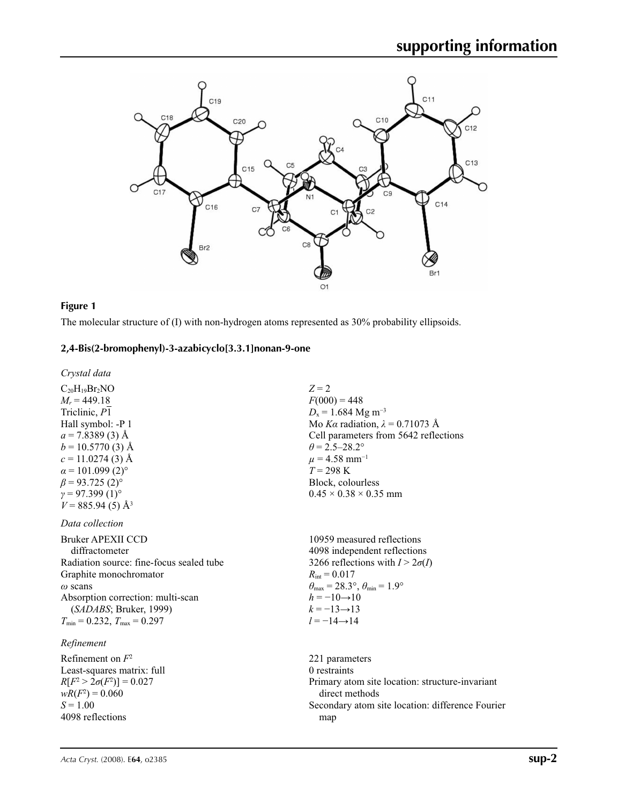

## **Figure 1**

The molecular structure of (I) with non-hydrogen atoms represented as 30% probability ellipsoids.

## **2,4-Bis(2-bromophenyl)-3-azabicyclo[3.3.1]nonan-9-one**

*Crystal data*

 $C_{20}H_{19}Br_2NO$  $M_r = 449.18$ Triclinic, *P*1 Hall symbol: -P 1  $a = 7.8389(3)$  Å  $b = 10.5770(3)$  Å  $c = 11.0274(3)$  Å  $\alpha$  = 101.099 (2)<sup>o</sup>  $\beta$  = 93.725 (2)<sup>o</sup>  $γ = 97.399(1)°$  $V = 885.94(5)$  Å<sup>3</sup>

*Data collection*

Bruker APEXII CCD diffractometer Radiation source: fine-focus sealed tube Graphite monochromator *ω* scans Absorption correction: multi-scan (*SADABS*; Bruker, 1999)  $T_{\text{min}} = 0.232$ ,  $T_{\text{max}} = 0.297$ 

# *Refinement*

Refinement on *F*<sup>2</sup> Least-squares matrix: full  $R[F^2 > 2\sigma(F^2)] = 0.027$  $wR(F^2) = 0.060$  $S = 1.00$ 4098 reflections

*Z* = 2  $F(000) = 448$  $D_x = 1.684$  Mg m<sup>-3</sup> Mo *Kα* radiation,  $\lambda = 0.71073$  Å Cell parameters from 5642 reflections  $\theta$  = 2.5–28.2°  $\mu$  = 4.58 mm<sup>-1</sup> *T* = 298 K Block, colourless  $0.45 \times 0.38 \times 0.35$  mm

10959 measured reflections 4098 independent reflections 3266 reflections with  $I > 2\sigma(I)$  $R_{\text{int}} = 0.017$  $\theta_{\text{max}} = 28.3^{\circ}, \theta_{\text{min}} = 1.9^{\circ}$  $h = -10 \rightarrow 10$  $k = -13 \rightarrow 13$  $l = -14 \rightarrow 14$ 

221 parameters 0 restraints Primary atom site location: structure-invariant direct methods Secondary atom site location: difference Fourier map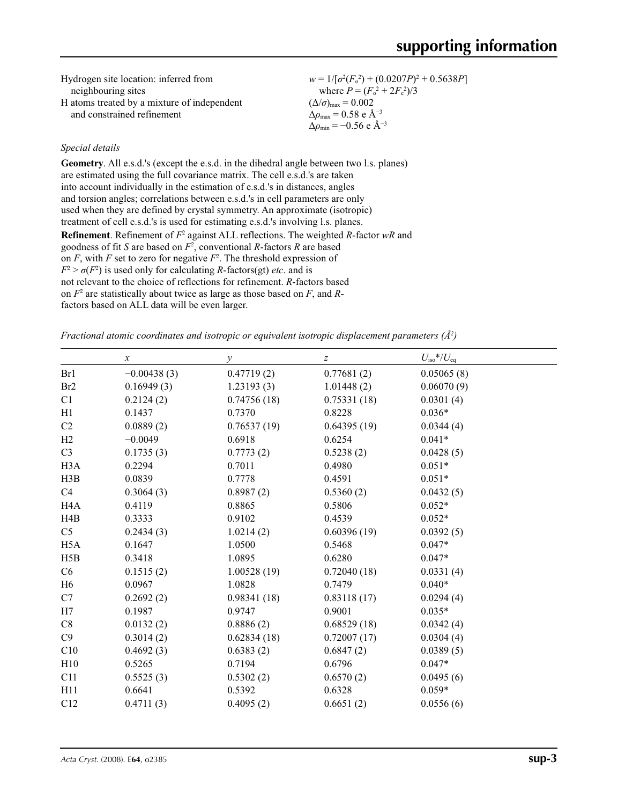| Hydrogen site location: inferred from       | $w = 1/[\sigma^2(F_0^2) + (0.0207P)^2 + 0.5638P]$ |
|---------------------------------------------|---------------------------------------------------|
| neighbouring sites                          | where $P = (F_0^2 + 2F_c^2)/3$                    |
| H atoms treated by a mixture of independent | $(\Delta/\sigma)_{\text{max}} = 0.002$            |
| and constrained refinement                  | $\Delta\rho_{\text{max}} = 0.58$ e $\rm \AA^{-3}$ |
|                                             | $\Delta \rho_{\rm min} = -0.56$ e $\rm \AA^{-3}$  |

# *Special details*

**Geometry**. All e.s.d.'s (except the e.s.d. in the dihedral angle between two l.s. planes) are estimated using the full covariance matrix. The cell e.s.d.'s are taken into account individually in the estimation of e.s.d.'s in distances, angles and torsion angles; correlations between e.s.d.'s in cell parameters are only used when they are defined by crystal symmetry. An approximate (isotropic) treatment of cell e.s.d.'s is used for estimating e.s.d.'s involving l.s. planes. **Refinement**. Refinement of  $F^2$  against ALL reflections. The weighted *R*-factor wR and goodness of fit *S* are based on *F*<sup>2</sup> , conventional *R*-factors *R* are based on  $F$ , with  $F$  set to zero for negative  $F^2$ . The threshold expression of  $F^2 > \sigma(F^2)$  is used only for calculating *R*-factors(gt) *etc*. and is not relevant to the choice of reflections for refinement. *R*-factors based on *F*<sup>2</sup> are statistically about twice as large as those based on *F*, and *R*factors based on ALL data will be even larger.

*Fractional atomic coordinates and isotropic or equivalent isotropic displacement parameters (Å2 )*

|                  | $\boldsymbol{x}$ | $\mathcal{Y}$ | $\boldsymbol{Z}$ | $U_{\rm iso}*/U_{\rm eq}$ |
|------------------|------------------|---------------|------------------|---------------------------|
| Br1              | $-0.00438(3)$    | 0.47719(2)    | 0.77681(2)       | 0.05065(8)                |
| Br <sub>2</sub>  | 0.16949(3)       | 1.23193(3)    | 1.01448(2)       | 0.06070(9)                |
| C1               | 0.2124(2)        | 0.74756(18)   | 0.75331(18)      | 0.0301(4)                 |
| H1               | 0.1437           | 0.7370        | 0.8228           | $0.036*$                  |
| C2               | 0.0889(2)        | 0.76537(19)   | 0.64395(19)      | 0.0344(4)                 |
| H2               | $-0.0049$        | 0.6918        | 0.6254           | $0.041*$                  |
| C <sub>3</sub>   | 0.1735(3)        | 0.7773(2)     | 0.5238(2)        | 0.0428(5)                 |
| H <sub>3</sub> A | 0.2294           | 0.7011        | 0.4980           | $0.051*$                  |
| H3B              | 0.0839           | 0.7778        | 0.4591           | $0.051*$                  |
| C4               | 0.3064(3)        | 0.8987(2)     | 0.5360(2)        | 0.0432(5)                 |
| H <sub>4</sub> A | 0.4119           | 0.8865        | 0.5806           | $0.052*$                  |
| H4B              | 0.3333           | 0.9102        | 0.4539           | $0.052*$                  |
| C <sub>5</sub>   | 0.2434(3)        | 1.0214(2)     | 0.60396(19)      | 0.0392(5)                 |
| H <sub>5</sub> A | 0.1647           | 1.0500        | 0.5468           | $0.047*$                  |
| H5B              | 0.3418           | 1.0895        | 0.6280           | $0.047*$                  |
| C6               | 0.1515(2)        | 1.00528(19)   | 0.72040(18)      | 0.0331(4)                 |
| H <sub>6</sub>   | 0.0967           | 1.0828        | 0.7479           | $0.040*$                  |
| C7               | 0.2692(2)        | 0.98341(18)   | 0.83118(17)      | 0.0294(4)                 |
| H7               | 0.1987           | 0.9747        | 0.9001           | $0.035*$                  |
| C8               | 0.0132(2)        | 0.8886(2)     | 0.68529(18)      | 0.0342(4)                 |
| C9               | 0.3014(2)        | 0.62834(18)   | 0.72007(17)      | 0.0304(4)                 |
| C10              | 0.4692(3)        | 0.6383(2)     | 0.6847(2)        | 0.0389(5)                 |
| H10              | 0.5265           | 0.7194        | 0.6796           | $0.047*$                  |
| C11              | 0.5525(3)        | 0.5302(2)     | 0.6570(2)        | 0.0495(6)                 |
| H11              | 0.6641           | 0.5392        | 0.6328           | $0.059*$                  |
| C12              | 0.4711(3)        | 0.4095(2)     | 0.6651(2)        | 0.0556(6)                 |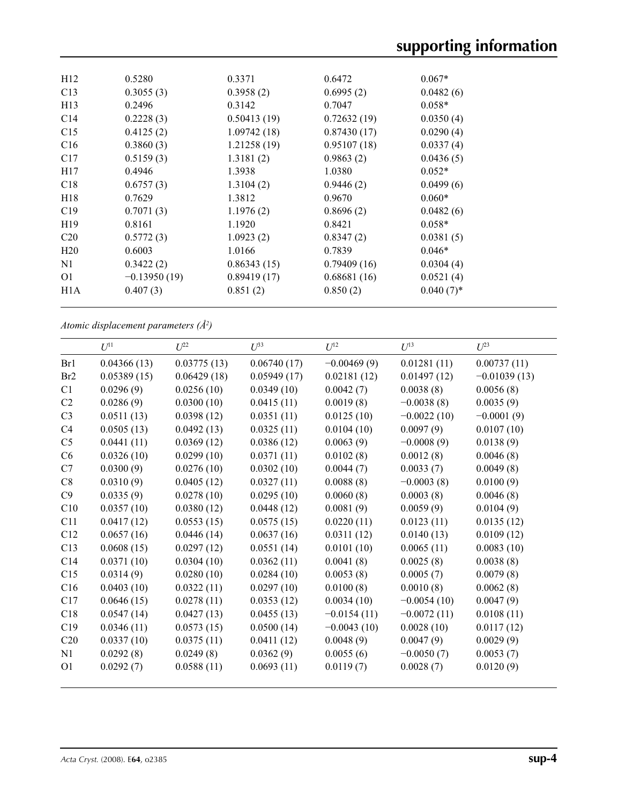| H12              | 0.5280         | 0.3371      | 0.6472      | $0.067*$     |
|------------------|----------------|-------------|-------------|--------------|
| C13              | 0.3055(3)      | 0.3958(2)   | 0.6995(2)   | 0.0482(6)    |
| H13              | 0.2496         | 0.3142      | 0.7047      | $0.058*$     |
| C14              | 0.2228(3)      | 0.50413(19) | 0.72632(19) | 0.0350(4)    |
| C15              | 0.4125(2)      | 1.09742(18) | 0.87430(17) | 0.0290(4)    |
| C16              | 0.3860(3)      | 1.21258(19) | 0.95107(18) | 0.0337(4)    |
| C17              | 0.5159(3)      | 1.3181(2)   | 0.9863(2)   | 0.0436(5)    |
| H <sub>17</sub>  | 0.4946         | 1.3938      | 1.0380      | $0.052*$     |
| C18              | 0.6757(3)      | 1.3104(2)   | 0.9446(2)   | 0.0499(6)    |
| H18              | 0.7629         | 1.3812      | 0.9670      | $0.060*$     |
| C19              | 0.7071(3)      | 1.1976(2)   | 0.8696(2)   | 0.0482(6)    |
| H <sub>19</sub>  | 0.8161         | 1.1920      | 0.8421      | $0.058*$     |
| C <sub>20</sub>  | 0.5772(3)      | 1.0923(2)   | 0.8347(2)   | 0.0381(5)    |
| H <sub>20</sub>  | 0.6003         | 1.0166      | 0.7839      | $0.046*$     |
| N1               | 0.3422(2)      | 0.86343(15) | 0.79409(16) | 0.0304(4)    |
| O <sub>1</sub>   | $-0.13950(19)$ | 0.89419(17) | 0.68681(16) | 0.0521(4)    |
| H <sub>1</sub> A | 0.407(3)       | 0.851(2)    | 0.850(2)    | $0.040(7)$ * |
|                  |                |             |             |              |

*Atomic displacement parameters (Å2 )*

|                | $U^{11}$    | $U^{22}$    | $U^{33}$    | $U^{12}$      | $U^{13}$      | $U^{23}$       |
|----------------|-------------|-------------|-------------|---------------|---------------|----------------|
| Br1            | 0.04366(13) | 0.03775(13) | 0.06740(17) | $-0.00469(9)$ | 0.01281(11)   | 0.00737(11)    |
| Br2            | 0.05389(15) | 0.06429(18) | 0.05949(17) | 0.02181(12)   | 0.01497(12)   | $-0.01039(13)$ |
| C1             | 0.0296(9)   | 0.0256(10)  | 0.0349(10)  | 0.0042(7)     | 0.0038(8)     | 0.0056(8)      |
| C <sub>2</sub> | 0.0286(9)   | 0.0300(10)  | 0.0415(11)  | 0.0019(8)     | $-0.0038(8)$  | 0.0035(9)      |
| C <sub>3</sub> | 0.0511(13)  | 0.0398(12)  | 0.0351(11)  | 0.0125(10)    | $-0.0022(10)$ | $-0.0001(9)$   |
| C <sub>4</sub> | 0.0505(13)  | 0.0492(13)  | 0.0325(11)  | 0.0104(10)    | 0.0097(9)     | 0.0107(10)     |
| C <sub>5</sub> | 0.0441(11)  | 0.0369(12)  | 0.0386(12)  | 0.0063(9)     | $-0.0008(9)$  | 0.0138(9)      |
| C6             | 0.0326(10)  | 0.0299(10)  | 0.0371(11)  | 0.0102(8)     | 0.0012(8)     | 0.0046(8)      |
| C7             | 0.0300(9)   | 0.0276(10)  | 0.0302(10)  | 0.0044(7)     | 0.0033(7)     | 0.0049(8)      |
| C8             | 0.0310(9)   | 0.0405(12)  | 0.0327(11)  | 0.0088(8)     | $-0.0003(8)$  | 0.0100(9)      |
| C9             | 0.0335(9)   | 0.0278(10)  | 0.0295(10)  | 0.0060(8)     | 0.0003(8)     | 0.0046(8)      |
| C10            | 0.0357(10)  | 0.0380(12)  | 0.0448(12)  | 0.0081(9)     | 0.0059(9)     | 0.0104(9)      |
| C11            | 0.0417(12)  | 0.0553(15)  | 0.0575(15)  | 0.0220(11)    | 0.0123(11)    | 0.0135(12)     |
| C12            | 0.0657(16)  | 0.0446(14)  | 0.0637(16)  | 0.0311(12)    | 0.0140(13)    | 0.0109(12)     |
| C13            | 0.0608(15)  | 0.0297(12)  | 0.0551(14)  | 0.0101(10)    | 0.0065(11)    | 0.0083(10)     |
| C14            | 0.0371(10)  | 0.0304(10)  | 0.0362(11)  | 0.0041(8)     | 0.0025(8)     | 0.0038(8)      |
| C15            | 0.0314(9)   | 0.0280(10)  | 0.0284(10)  | 0.0053(8)     | 0.0005(7)     | 0.0079(8)      |
| C16            | 0.0403(10)  | 0.0322(11)  | 0.0297(10)  | 0.0100(8)     | 0.0010(8)     | 0.0062(8)      |
| C17            | 0.0646(15)  | 0.0278(11)  | 0.0353(12)  | 0.0034(10)    | $-0.0054(10)$ | 0.0047(9)      |
| C18            | 0.0547(14)  | 0.0427(13)  | 0.0455(13)  | $-0.0154(11)$ | $-0.0072(11)$ | 0.0108(11)     |
| C19            | 0.0346(11)  | 0.0573(15)  | 0.0500(14)  | $-0.0043(10)$ | 0.0028(10)    | 0.0117(12)     |
| C20            | 0.0337(10)  | 0.0375(11)  | 0.0411(12)  | 0.0048(9)     | 0.0047(9)     | 0.0029(9)      |
| N1             | 0.0292(8)   | 0.0249(8)   | 0.0362(9)   | 0.0055(6)     | $-0.0050(7)$  | 0.0053(7)      |
| O <sub>1</sub> | 0.0292(7)   | 0.0588(11)  | 0.0693(11)  | 0.0119(7)     | 0.0028(7)     | 0.0120(9)      |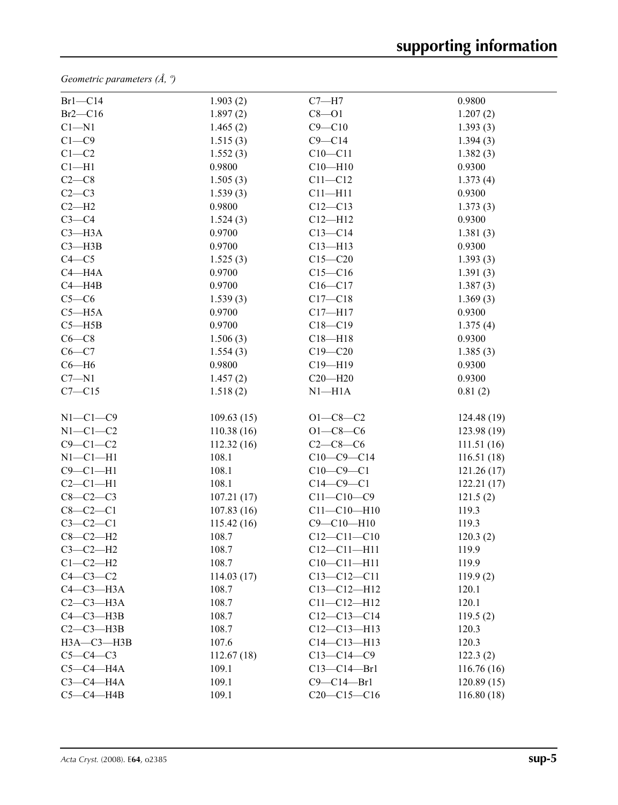*Geometric parameters (Å, º)*

| $Br1-C14$       | 1.903(2)   | $C7 - H7$         | 0.9800      |
|-----------------|------------|-------------------|-------------|
| $Br2-C16$       | 1.897(2)   | $C8 - O1$         | 1.207(2)    |
| $Cl - N1$       | 1.465(2)   | $C9 - C10$        | 1.393(3)    |
| $C1-C9$         | 1.515(3)   | $C9 - C14$        | 1.394(3)    |
| $C1-C2$         | 1.552(3)   | $C10 - C11$       | 1.382(3)    |
| $Cl-H1$         | 0.9800     | $C10 - H10$       | 0.9300      |
| $C2-C8$         | 1.505(3)   | $C11 - C12$       | 1.373(4)    |
| $C2-C3$         | 1.539(3)   | $C11 - H11$       | 0.9300      |
| $C2-H2$         | 0.9800     | $C12 - C13$       | 1.373(3)    |
| $C3-C4$         | 1.524(3)   | $C12 - H12$       | 0.9300      |
| $C3 - H3A$      | 0.9700     | $C13-C14$         | 1.381(3)    |
| $C3 - H3B$      | 0.9700     | $C13 - H13$       | 0.9300      |
| $C4 - C5$       | 1.525(3)   | $C15 - C20$       | 1.393(3)    |
| $C4 - H4A$      | 0.9700     | $C15 - C16$       | 1.391(3)    |
| $C4 - H4B$      | 0.9700     | $C16 - C17$       | 1.387(3)    |
| $C5-C6$         | 1.539(3)   | $C17 - C18$       | 1.369(3)    |
| $C5 - H5A$      | 0.9700     | $C17 - H17$       | 0.9300      |
| $C5 - H5B$      | 0.9700     | $C18 - C19$       | 1.375(4)    |
| $C6-C8$         | 1.506(3)   | $C18 - H18$       | 0.9300      |
| $C6-C7$         | 1.554(3)   | $C19 - C20$       | 1.385(3)    |
| $C6 - H6$       | 0.9800     | $C19 - H19$       | 0.9300      |
| $C7 - N1$       | 1.457(2)   | $C20 - H20$       | 0.9300      |
| $C7 - C15$      | 1.518(2)   | $N1 - H1A$        | 0.81(2)     |
|                 |            |                   |             |
| $N1-C1-C9$      | 109.63(15) | $O1 - C8 - C2$    | 124.48 (19) |
| $N1-C1-C2$      | 110.38(16) | $O1 - C8 - C6$    | 123.98 (19) |
| $C9 - C1 - C2$  | 112.32(16) | $C2-C8-C6$        | 111.51(16)  |
| $N1-C1-H1$      | 108.1      | $C10-C9-C14$      | 116.51(18)  |
| $C9 - C1 - H1$  | 108.1      | $C10-C9-C1$       | 121.26(17)  |
| $C2-C1-H1$      | 108.1      | $C14-C9-C1$       | 122.21(17)  |
| $C8-C2-C3$      | 107.21(17) | $C11 - C10 - C9$  | 121.5(2)    |
| $C8-C2-C1$      | 107.83(16) | $C11 - C10 - H10$ | 119.3       |
| $C3-C2-C1$      | 115.42(16) | $C9 - C10 - H10$  | 119.3       |
| $C8-C2-H2$      | 108.7      | $C12 - C11 - C10$ | 120.3(2)    |
| $C3-C2-H2$      | 108.7      | $C12 - C11 - H11$ | 119.9       |
| $C1-C2-H2$      | 108.7      | $C10 - C11 - H11$ | 119.9       |
| $C4-C3-C2$      | 114.03(17) | $C13 - C12 - C11$ | 119.9(2)    |
| $C4-C3-H3A$     | 108.7      | $C13 - C12 - H12$ | 120.1       |
| $C2-C3-H3A$     | 108.7      | $C11 - C12 - H12$ | 120.1       |
| $C4 - C3 - H3B$ | 108.7      | $C12-C13-C14$     | 119.5(2)    |
| $C2-C3-H3B$     | 108.7      | $C12-C13-H13$     | 120.3       |
| НЗА-СЗ-НЗВ      | 107.6      | $C14 - C13 - H13$ | 120.3       |
| $C5-C4-C3$      | 112.67(18) | $C13 - C14 - C9$  | 122.3(2)    |
| $C5-C4-H4A$     | 109.1      | $C13 - C14 - Br1$ | 116.76(16)  |
| $C3-C4-H4A$     | 109.1      | $C9 - C14 - Br1$  | 120.89(15)  |
| $C5-C4-HAB$     | 109.1      | $C20-C15-C16$     | 116.80(18)  |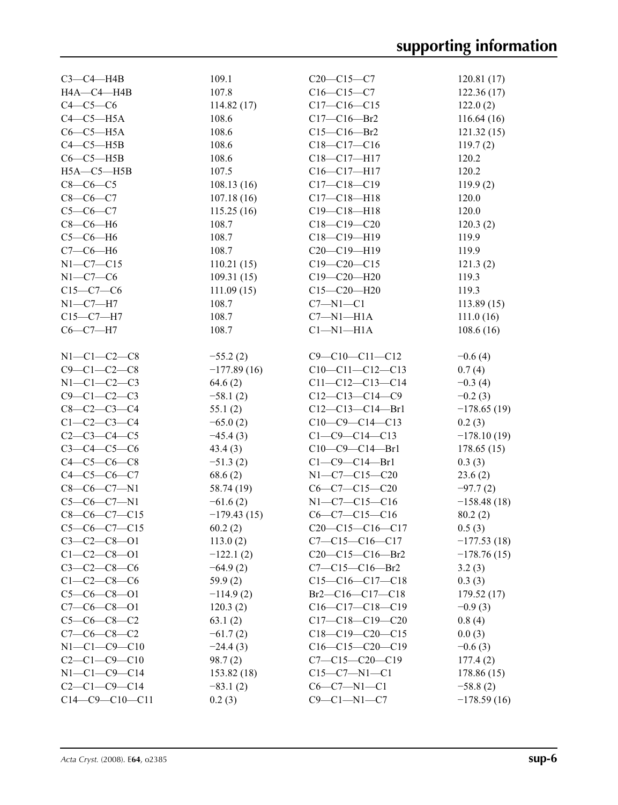| $C3-C4-H4B$          | 109.1         | $C20-C15-C7$                  | 120.81(17)    |
|----------------------|---------------|-------------------------------|---------------|
| H4A-C4-H4B           | 107.8         | $C16 - C15 - C7$              | 122.36(17)    |
| $C4-C5-C6$           | 114.82(17)    | $C17 - C16 - C15$             | 122.0(2)      |
| $C4-C5-H5A$          | 108.6         | $C17 - C16 - Br2$             | 116.64(16)    |
| $C6-C5-H5A$          | 108.6         | $C15 - C16 - Br2$             | 121.32(15)    |
| $C4-C5-HSB$          | 108.6         | $C18 - C17 - C16$             | 119.7(2)      |
| $C6-C5-H5B$          | 108.6         | $C18 - C17 - H17$             | 120.2         |
|                      | 107.5         |                               | 120.2         |
| $H5A - C5 - H5B$     |               | $C16 - C17 - H17$             |               |
| $C8-C6-C5$           | 108.13(16)    | $C17 - C18 - C19$             | 119.9(2)      |
| $C8-C6-C7$           | 107.18(16)    | $C17 - C18 - H18$             | 120.0         |
| $C5 - C6 - C7$       | 115.25(16)    | $C19 - C18 - H18$             | 120.0         |
| $C8-C6-H6$           | 108.7         | $C18 - C19 - C20$             | 120.3(2)      |
| $C5-C6-H6$           | 108.7         | C18-C19-H19                   | 119.9         |
| $C7-C6-H6$           | 108.7         | $C20-C19-H19$                 | 119.9         |
| $N1-C7-C15$          | 110.21(15)    | $C19 - C20 - C15$             | 121.3(2)      |
| $N1-C7-C6$           | 109.31(15)    | C19-C20-H20                   | 119.3         |
| $C15-C7-C6$          | 111.09(15)    | $C15 - C20 - H20$             | 119.3         |
| $N1-C7-H7$           | 108.7         | $C7 - N1 - C1$                | 113.89(15)    |
| $C15-C7-H7$          | 108.7         | $C7 - N1 - H1A$               | 111.0(16)     |
| $C6-C7-H7$           | 108.7         | $Cl-M1-H1A$                   | 108.6(16)     |
|                      |               |                               |               |
|                      |               |                               |               |
| $N1 - C1 - C2 - C8$  | $-55.2(2)$    | $C9 - C10 - C11 - C12$        | $-0.6(4)$     |
| $C9 - C1 - C2 - C8$  | $-177.89(16)$ | $C10-C11-C12-C13$             | 0.7(4)        |
| $N1-C1-C2-C3$        | 64.6(2)       | $C11-C12-C13-C14$             | $-0.3(4)$     |
| $C9 - C1 - C2 - C3$  | $-58.1(2)$    | $C12-C13-C14-C9$              | $-0.2(3)$     |
| $C8 - C2 - C3 - C4$  | 55.1(2)       | $C12-C13-C14-Br1$             | $-178.65(19)$ |
| $C1 - C2 - C3 - C4$  | $-65.0(2)$    | $C10-C9-C14-C13$              | 0.2(3)        |
| $C2 - C3 - C4 - C5$  | $-45.4(3)$    | $C1 - C9 - C14 - C13$         | $-178.10(19)$ |
| $C3 - C4 - C5 - C6$  | 43.4(3)       | $C10-C9-C14-Br1$              | 178.65(15)    |
| $C4 - C5 - C6 - C8$  | $-51.3(2)$    | $C1 - C9 - C14 - Br1$         | 0.3(3)        |
| $C4 - C5 - C6 - C7$  | 68.6(2)       | $N1 - C7 - C15 - C20$         | 23.6(2)       |
| $C8-C6-C7-N1$        | 58.74 (19)    | $C6-C7-C15-C20$               | $-97.7(2)$    |
| $C5-C6-C7-N1$        | $-61.6(2)$    | $N1-C7-C15-C16$               | $-158.48(18)$ |
| $C8-C6-C7-C15$       | $-179.43(15)$ | $C6 - C7 - C15 - C16$         | 80.2(2)       |
| $C5-C6-C7-C15$       |               | $C20-C15-C16-C17$             |               |
|                      | 60.2(2)       |                               | 0.5(3)        |
| $C3 - C2 - C8 - 01$  | 113.0(2)      | $C7 - C15 - C16 - C17$        | $-177.53(18)$ |
| $C1 - C2 - C8 - 01$  | $-122.1(2)$   | $C20-C15-C16-Br2$             | $-178.76(15)$ |
| $C3 - C2 - C8 - C6$  | $-64.9(2)$    | $C7 - C15 - C16 - Br2$        | 3.2(3)        |
| $C1 - C2 - C8 - C6$  | 59.9(2)       | $C15-C16-C17-C18$             | 0.3(3)        |
| $C5-C6-C8-O1$        | $-114.9(2)$   | $Br2$ — $Cl6$ — $Cl7$ — $Cl8$ | 179.52(17)    |
| $C7-C6-C8-O1$        | 120.3(2)      | $C16-C17-C18-C19$             | $-0.9(3)$     |
| $C5-C6-C8-C2$        | 63.1(2)       | $C17-C18-C19-C20$             | 0.8(4)        |
| $C7-C6-C8-C2$        | $-61.7(2)$    | $C18-C19-C20-C15$             | 0.0(3)        |
| $N1 - C1 - C9 - C10$ | $-24.4(3)$    | $C16-C15-C20-C19$             | $-0.6(3)$     |
| $C2-C1-C9-C10$       | 98.7(2)       | $C7 - C15 - C20 - C19$        | 177.4(2)      |
| $N1 - C1 - C9 - C14$ | 153.82(18)    | $C15-C7-N1-C1$                | 178.86 (15)   |
| $C2 - C1 - C9 - C14$ | $-83.1(2)$    | $C6-C7-N1-C1$                 | $-58.8(2)$    |
| $C14-C9-C10-C11$     | 0.2(3)        | $C9 - C1 - N1 - C7$           | $-178.59(16)$ |
|                      |               |                               |               |